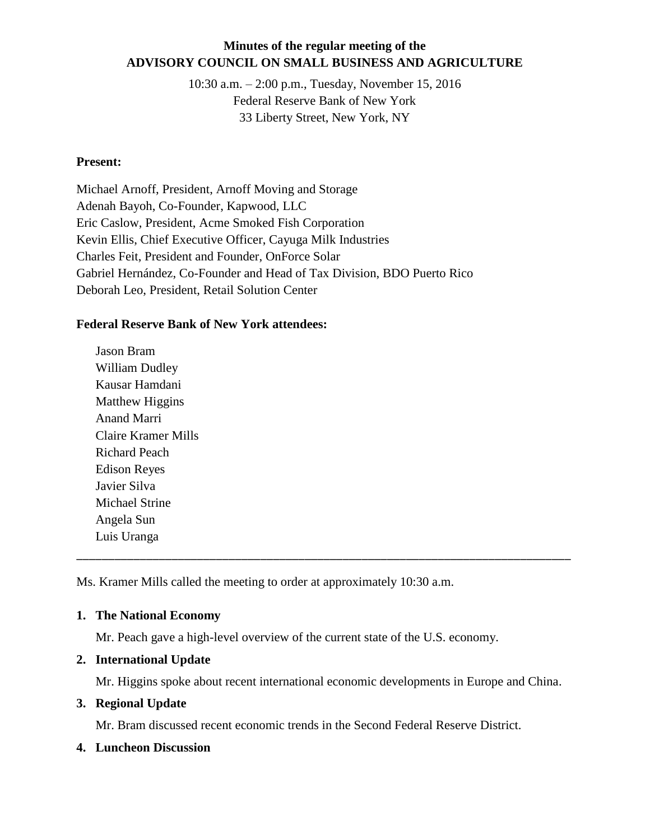## **Minutes of the regular meeting of the ADVISORY COUNCIL ON SMALL BUSINESS AND AGRICULTURE**

10:30 a.m. – 2:00 p.m., Tuesday, November 15, 2016 Federal Reserve Bank of New York 33 Liberty Street, New York, NY

#### **Present:**

Michael Arnoff, President, Arnoff Moving and Storage Adenah Bayoh, Co-Founder, Kapwood, LLC Eric Caslow, President, Acme Smoked Fish Corporation Kevin Ellis, Chief Executive Officer, Cayuga Milk Industries Charles Feit, President and Founder, OnForce Solar Gabriel Hernández, Co-Founder and Head of Tax Division, BDO Puerto Rico Deborah Leo, President, Retail Solution Center

#### **Federal Reserve Bank of New York attendees:**

Jason Bram William Dudley Kausar Hamdani Matthew Higgins Anand Marri Claire Kramer Mills Richard Peach Edison Reyes Javier Silva Michael Strine Angela Sun Luis Uranga

Ms. Kramer Mills called the meeting to order at approximately 10:30 a.m.

## **1. The National Economy**

Mr. Peach gave a high-level overview of the current state of the U.S. economy.

## **2. International Update**

Mr. Higgins spoke about recent international economic developments in Europe and China.

\_\_\_\_\_\_\_\_\_\_\_\_\_\_\_\_\_\_\_\_\_\_\_\_\_\_\_\_\_\_\_\_\_\_\_\_\_\_\_\_\_\_\_\_\_\_\_\_\_\_\_\_\_\_\_\_\_\_\_\_\_\_\_\_\_\_\_\_\_\_\_\_\_\_\_\_\_\_

## **3. Regional Update**

Mr. Bram discussed recent economic trends in the Second Federal Reserve District.

#### **4. Luncheon Discussion**